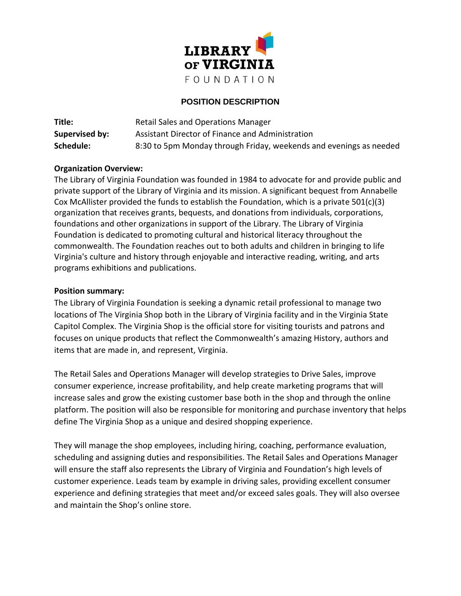

## **POSITION DESCRIPTION**

| Title:         | Retail Sales and Operations Manager                                |
|----------------|--------------------------------------------------------------------|
| Supervised by: | Assistant Director of Finance and Administration                   |
| Schedule:      | 8:30 to 5pm Monday through Friday, weekends and evenings as needed |

## **Organization Overview:**

The Library of Virginia Foundation was founded in 1984 to advocate for and provide public and private support of the Library of Virginia and its mission. A significant bequest from Annabelle Cox McAllister provided the funds to establish the Foundation, which is a private 501(c)(3) organization that receives grants, bequests, and donations from individuals, corporations, foundations and other organizations in support of the Library. The Library of Virginia Foundation is dedicated to promoting cultural and historical literacy throughout the commonwealth. The Foundation reaches out to both adults and children in bringing to life Virginia's culture and history through enjoyable and interactive reading, writing, and arts programs exhibitions and publications.

## **Position summary:**

The Library of Virginia Foundation is seeking a dynamic retail professional to manage two locations of The Virginia Shop both in the Library of Virginia facility and in the Virginia State Capitol Complex. The Virginia Shop is the official store for visiting tourists and patrons and focuses on unique products that reflect the Commonwealth's amazing History, authors and items that are made in, and represent, Virginia.

The Retail Sales and Operations Manager will develop strategies to Drive Sales, improve consumer experience, increase profitability, and help create marketing programs that will increase sales and grow the existing customer base both in the shop and through the online platform. The position will also be responsible for monitoring and purchase inventory that helps define The Virginia Shop as a unique and desired shopping experience.

They will manage the shop employees, including hiring, coaching, performance evaluation, scheduling and assigning duties and responsibilities. The Retail Sales and Operations Manager will ensure the staff also represents the Library of Virginia and Foundation's high levels of customer experience. Leads team by example in driving sales, providing excellent consumer experience and defining strategies that meet and/or exceed sales goals. They will also oversee and maintain the Shop's online store.